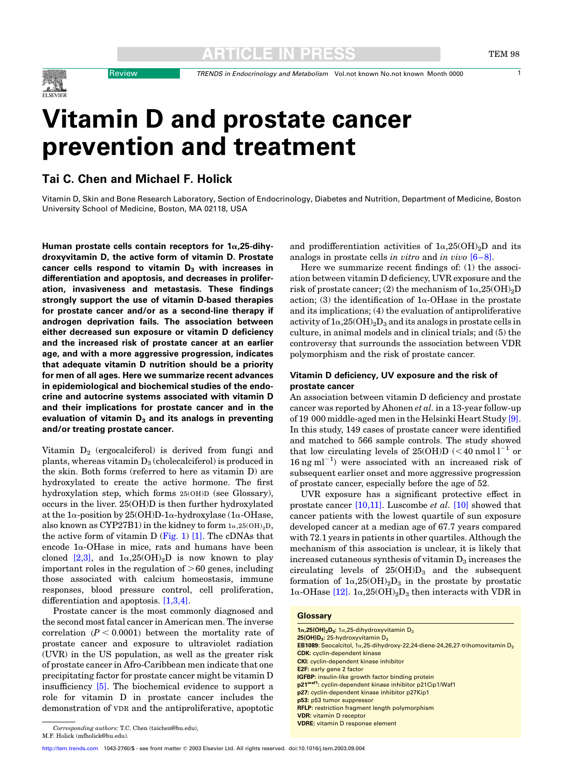Review TRENDS in Endocrinology and Metabolism Vol.not known No.not known Month 0000 1

# Vitamin D and prostate cancer prevention and treatment

Tai C. Chen and Michael F. Holick

Vitamin D, Skin and Bone Research Laboratory, Section of Endocrinology, Diabetes and Nutrition, Department of Medicine, Boston University School of Medicine, Boston, MA 02118, USA

Human prostate cells contain receptors for  $1\alpha$ , 25-dihydroxyvitamin D, the active form of vitamin D. Prostate cancer cells respond to vitamin  $D_3$  with increases in differentiation and apoptosis, and decreases in proliferation, invasiveness and metastasis. These findings strongly support the use of vitamin D-based therapies for prostate cancer and/or as a second-line therapy if androgen deprivation fails. The association between either decreased sun exposure or vitamin D deficiency and the increased risk of prostate cancer at an earlier age, and with a more aggressive progression, indicates that adequate vitamin D nutrition should be a priority for men of all ages. Here we summarize recent advances in epidemiological and biochemical studies of the endocrine and autocrine systems associated with vitamin D and their implications for prostate cancer and in the evaluation of vitamin  $D_3$  and its analogs in preventing and/or treating prostate cancer.

Vitamin  $D_2$  (ergocalciferol) is derived from fungi and plants, whereas vitamin  $D_3$  (cholecalciferol) is produced in the skin. Both forms (referred to here as vitamin D) are hydroxylated to create the active hormone. The first hydroxylation step, which forms 25(OH)D (see Glossary), occurs in the liver. 25(OH)D is then further hydroxylated at the  $1\alpha$ -position by 25(OH)D-1 $\alpha$ -hydroxylase (1 $\alpha$ -OHase, also known as CYP27B1) in the kidney to form  $1\alpha, 25(OH)_{2}D$ , the active form of vitamin D ([Fig. 1](#page-1-0))  $[1]$ . The cDNAs that encode  $1\alpha$ -OHase in mice, rats and humans have been cloned [\[2,3\],](#page-6-0) and  $1\alpha,25(OH)_{2}D$  is now known to play important roles in the regulation of  $>60$  genes, including those associated with calcium homeostasis, immune responses, blood pressure control, cell proliferation, differentiation and apoptosis. [\[1,3,4\]](#page-6-0).

Prostate cancer is the most commonly diagnosed and the second most fatal cancer in American men. The inverse correlation  $(P < 0.0001)$  between the mortality rate of prostate cancer and exposure to ultraviolet radiation (UVR) in the US population, as well as the greater risk of prostate cancer in Afro-Caribbean men indicate that one precipitating factor for prostate cancer might be vitamin D insufficiency [\[5\].](#page-6-0) The biochemical evidence to support a role for vitamin D in prostate cancer includes the demonstration of VDR and the antiproliferative, apoptotic

and prodifferentiation activities of  $1\alpha,25(OH)_2D$  and its analogs in prostate cells in vitro and in vivo  $[6-8]$ .

Here we summarize recent findings of: (1) the association between vitamin D deficiency, UVR exposure and the risk of prostate cancer; (2) the mechanism of  $1\alpha,25(OH)_{2}D$ action; (3) the identification of  $1\alpha$ -OHase in the prostate and its implications; (4) the evaluation of antiproliferative activity of  $1\alpha,25(OH)_2D_3$  and its analogs in prostate cells in culture, in animal models and in clinical trials; and (5) the controversy that surrounds the association between VDR polymorphism and the risk of prostate cancer.

### Vitamin D deficiency, UV exposure and the risk of prostate cancer

An association between vitamin D deficiency and prostate cancer was reported by Ahonen et al. in a 13-year follow-up of 19 000 middle-aged men in the Helsinki Heart Study [\[9\]](#page-6-0). In this study, 149 cases of prostate cancer were identified and matched to 566 sample controls. The study showed that low circulating levels of 25(OH)D ( $<$  40 nmol l<sup>-1</sup> or  $16$  ng ml<sup>-1</sup>) were associated with an increased risk of subsequent earlier onset and more aggressive progression of prostate cancer, especially before the age of 52.

UVR exposure has a significant protective effect in prostate cancer  $[10,11]$ . Luscombe *et al.*  $[10]$  showed that cancer patients with the lowest quartile of sun exposure developed cancer at a median age of 67.7 years compared with 72.1 years in patients in other quartiles. Although the mechanism of this association is unclear, it is likely that increased cutaneous synthesis of vitamin  $D_3$  increases the circulating levels of  $25(OH)D<sub>3</sub>$  and the subsequent formation of  $1\alpha,25(OH)_2D_3$  in the prostate by prostatic  $1\alpha$ -OHase [\[12\].](#page-6-0)  $1\alpha$ ,  $25(OH)_{2}D_{3}$  then interacts with VDR in

#### **Glossary**

| $1\alpha$ , 25(OH) <sub>2</sub> D <sub>3</sub> : $1\alpha$ , 25-dihydroxyvitamin D <sub>3</sub>             |
|-------------------------------------------------------------------------------------------------------------|
| $25(OH)D3: 25-hydroxyvitamin D3$                                                                            |
| <b>EB1089:</b> Seocalcitol, 1 $\alpha$ , 25-dihydroxy-22, 24-diene-24, 26, 27-trihomovitamin D <sub>3</sub> |
| <b>CDK:</b> cyclin-dependent kinase                                                                         |
| <b>CKI:</b> cyclin-dependent kinase inhibitor                                                               |
| <b>E2F: early gene 2 factor</b>                                                                             |
| <b>IGFBP:</b> insulin-like growth factor binding protein                                                    |
| p21 <sup>waf1</sup> : cyclin-dependent kinase inhibitor p21Cip1/Waf1                                        |
| p27: cyclin-dependent kinase inhibitor p27Kip1                                                              |
| p53: p53 tumor suppressor                                                                                   |
| <b>RFLP:</b> restriction fragment length polymorphism                                                       |
| <b>VDR:</b> vitamin D receptor                                                                              |
| <b>VDRE:</b> vitamin D response element                                                                     |
|                                                                                                             |

Corresponding authors: T.C. Chen (taichen@bu.edu), M.F. Holick (mfholick@bu.edu).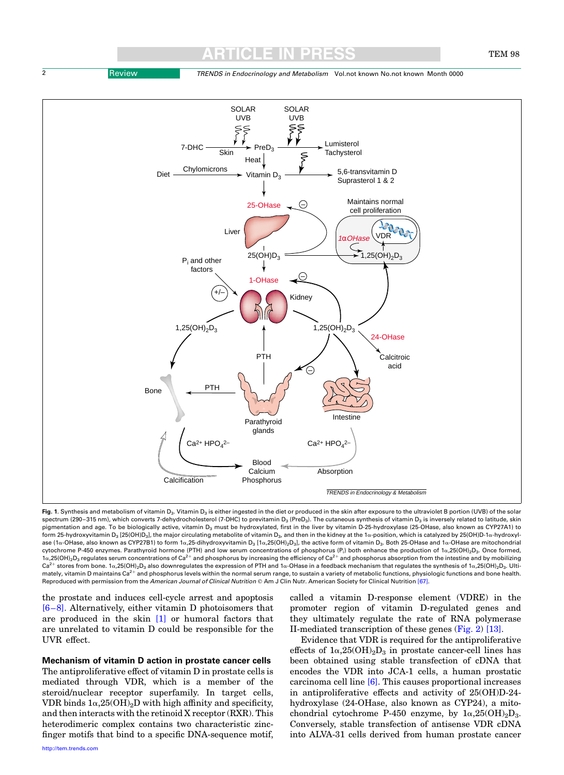<span id="page-1-0"></span>2 **Review TRENDS in Endocrinology and Metabolism Vol.not known No.not known Month 0000** 

ARTICLE IN PRESS



Fig. 1. Synthesis and metabolism of vitamin D<sub>3</sub>. Vitamin D<sub>3</sub> is either ingested in the diet or produced in the skin after exposure to the ultraviolet B portion (UVB) of the solar spectrum (290–315 nm), which converts 7-dehydrocholesterol (7-DHC) to previtamin D<sub>3</sub> (PreD<sub>3</sub>). The cutaneous synthesis of vitamin D<sub>3</sub> is inversely related to latitude, skin pigmentation and age. To be biologically active, vitamin D<sub>3</sub> must be hydroxylated, first in the liver by vitamin D-25-hydroxylase (25-OHase, also known as CYP27A1) to form 25-hydroxyvitamin D<sub>3</sub> [25(OH)D<sub>3</sub>], the major circulating metabolite of vitamin D<sub>3</sub>, and then in the kidney at the 1 $\alpha$ -position, which is catalyzed by 25(OH)D-1 $\alpha$ -hydroxylase (1a-OHase, also known as CYP27B1) to form 1a,25-dihydroxyvitamin D<sub>3</sub> [1a,25(OH)<sub>2</sub>D<sub>3</sub>], the active form of vitamin D<sub>3</sub>. Both 25-OHase and 1a-OHase are mitochondrial cytochrome P-450 enzymes. Parathyroid hormone (PTH) and low serum concentrations of phosphorus (P<sub>i</sub>) both enhance the production of 1 $\alpha$ ,25(OH)<sub>2</sub>D<sub>3</sub>. Once formed,  $1\alpha$ ,25(OH)<sub>2</sub>D<sub>3</sub> regulates serum concentrations of Ca<sup>2+</sup> and phosphorus by increasing the efficiency of Ca<sup>2+</sup> and phosphorus absorption from the intestine and by mobilizing  $Ca^{2+}$  stores from bone. 1a, 25(OH)<sub>2</sub>D<sub>3</sub> also downregulates the expression of PTH and 1a-OHase in a feedback mechanism that regulates the synthesis of 1a, 25(OH)<sub>2</sub>D<sub>3</sub>. Ultimately, vitamin D maintains Ca<sup>2+</sup> and phosphorus levels within the normal serum range, to sustain a variety of metabolic functions, physiologic functions and bone health. Reproduced with permission from the American Journal of Clinical Nutrition © Am J Clin Nutr. American Society for Clinical Nutrition [\[67\].](#page-7-0)

the prostate and induces cell-cycle arrest and apoptosis [\[6–8\].](#page-6-0) Alternatively, either vitamin D photoisomers that are produced in the skin [\[1\]](#page-6-0) or humoral factors that are unrelated to vitamin D could be responsible for the UVR effect.

Mechanism of vitamin D action in prostate cancer cells The antiproliferative effect of vitamin D in prostate cells is mediated through VDR, which is a member of the steroid/nuclear receptor superfamily. In target cells, VDR binds  $1\alpha,25(OH)_2D$  with high affinity and specificity, and then interacts with the retinoid X receptor (RXR). This heterodimeric complex contains two characteristic zincfinger motifs that bind to a specific DNA-sequence motif, called a vitamin D-response element (VDRE) in the promoter region of vitamin D-regulated genes and they ultimately regulate the rate of RNA polymerase II-mediated transcription of these genes ([Fig. 2\)](#page-2-0) [\[13\]](#page-6-0).

Evidence that VDR is required for the antiproliferative effects of  $1\alpha,25(OH)_2D_3$  in prostate cancer-cell lines has been obtained using stable transfection of cDNA that encodes the VDR into JCA-1 cells, a human prostatic carcinoma cell line [\[6\]](#page-6-0). This causes proportional increases in antiproliferative effects and activity of 25(OH)D-24 hydroxylase (24-OHase, also known as CYP24), a mitochondrial cytochrome P-450 enzyme, by  $1\alpha,25(OH)_2D_3$ . Conversely, stable transfection of antisense VDR cDNA into ALVA-31 cells derived from human prostate cancer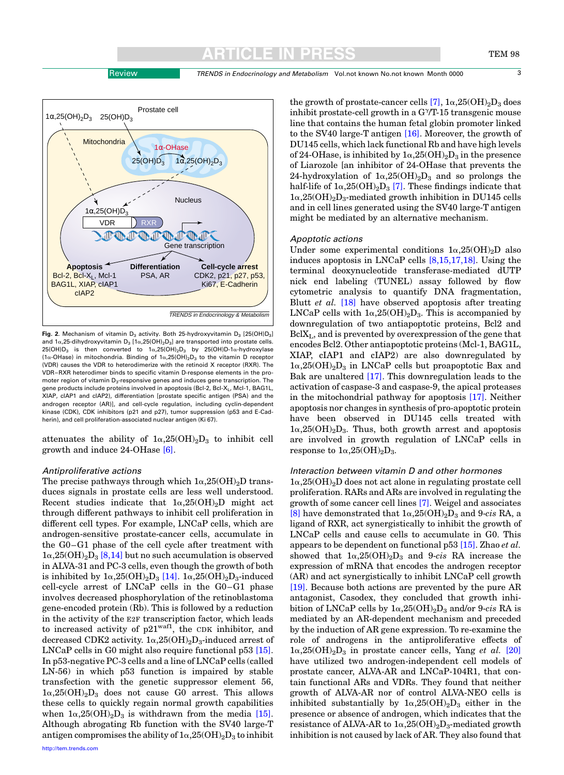Review TRENDS in Endocrinology and Metabolism Vol.not known No.not known Month 0000 3

the growth of prostate-cancer cells [\[7\]](#page-6-0),  $1\alpha,25(OH)_{2}D_{3}$  does inhibit prostate-cell growth in a  $G^{\gamma}/T$ -15 transgenic mouse line that contains the human fetal globin promoter linked to the SV40 large-T antigen [\[16\].](#page-6-0) Moreover, the growth of DU145 cells, which lack functional Rb and have high levels of 24-OHase, is inhibited by  $1\alpha,25(OH)_2D_3$  in the presence of Liarozole [an inhibitor of 24-OHase that prevents the 24-hydroxylation of  $1\alpha,25(OH)_2D_3$  and so prolongs the half-life of  $1\alpha,25(OH)_2D_3$  [\[7\].](#page-6-0) These findings indicate that  $1\alpha,25(OH)_2D_3$ -mediated growth inhibition in DU145 cells and in cell lines generated using the SV40 large-T antigen might be mediated by an alternative mechanism. **Nucleus** 1α-OHase

#### Apoptotic actions

Under some experimental conditions  $1\alpha,25(OH)_2D$  also induces apoptosis in LNCaP cells [\[8,15,17,18\].](#page-6-0) Using the terminal deoxynucleotide transferase-mediated dUTP nick end labeling (TUNEL) assay followed by flow cytometric analysis to quantify DNA fragmentation, Blutt et al. [\[18\]](#page-6-0) have observed apoptosis after treating LNCaP cells with  $1\alpha,25(OH)_2D_3$ . This is accompanied by downregulation of two antiapoptotic proteins, Bcl2 and BclXL, and is prevented by overexpression of the gene that encodes Bcl2. Other antiapoptotic proteins (Mcl-1, BAG1L, XIAP, cIAP1 and cIAP2) are also downregulated by  $1\alpha,25(OH)_2D_3$  in LNCaP cells but proapoptotic Bax and Bak are unaltered [\[17\].](#page-6-0) This downregulation leads to the activation of caspase-3 and caspase-9, the apical proteases in the mitochondrial pathway for apoptosis [\[17\]](#page-6-0). Neither apoptosis nor changes in synthesis of pro-apoptotic protein have been observed in DU145 cells treated with  $1\alpha,25(OH)_2D_3$ . Thus, both growth arrest and apoptosis are involved in growth regulation of LNCaP cells in response to  $1\alpha,25(OH)_2D_3$ .

### Interaction between vitamin D and other hormones

 $1\alpha,25(OH)<sub>2</sub>D$  does not act alone in regulating prostate cell proliferation. RARs and ARs are involved in regulating the growth of some cancer cell lines [\[7\]](#page-6-0). Weigel and associates [\[8\]](#page-6-0) have demonstrated that  $1\alpha,25(OH)_2D_3$  and 9-cis RA, a ligand of RXR, act synergistically to inhibit the growth of LNCaP cells and cause cells to accumulate in G0. This appears to be dependent on functional p53 [\[15\]](#page-6-0). Zhao et al. showed that  $1\alpha,25(OH)_2D_3$  and 9-cis RA increase the expression of mRNA that encodes the androgen receptor (AR) and act synergistically to inhibit LNCaP cell growth [\[19\].](#page-6-0) Because both actions are prevented by the pure AR antagonist, Casodex, they concluded that growth inhibition of LNCaP cells by  $1\alpha,25(OH)_2D_3$  and/or 9-cis RA is mediated by an AR-dependent mechanism and preceded by the induction of AR gene expression. To re-examine the role of androgens in the antiproliferative effects of  $1\alpha,25(OH)_{2}D_{3}$  in prostate cancer cells, Yang *et al.* [\[20\]](#page-6-0) have utilized two androgen-independent cell models of prostate cancer, ALVA-AR and LNCaP-104R1, that contain functional ARs and VDRs. They found that neither growth of ALVA-AR nor of control ALVA-NEO cells is inhibited substantially by  $1\alpha,25(OH)_2D_3$  either in the presence or absence of androgen, which indicates that the resistance of ALVA-AR to  $1\alpha,25(OH)_2D_3$ -mediated growth inhibition is not caused by lack of AR. They also found that



attenuates the ability of  $1\alpha,25(OH)_2D_3$  to inhibit cell growth and induce 24-OHase [\[6\]](#page-6-0).

#### Antiproliferative actions

The precise pathways through which  $1\alpha,25(OH)_2D$  transduces signals in prostate cells are less well understood. Recent studies indicate that  $1\alpha,25(OH)_2D$  might act through different pathways to inhibit cell proliferation in different cell types. For example, LNCaP cells, which are androgen-sensitive prostate-cancer cells, accumulate in the G0–G1 phase of the cell cycle after treatment with  $1\alpha,25(OH)_{2}D_{3}$  [\[8,14\]](#page-6-0) but no such accumulation is observed in ALVA-31 and PC-3 cells, even though the growth of both is inhibited by  $1\alpha,25(OH)_2D_3$  [\[14\].](#page-6-0)  $1\alpha,25(OH)_2D_3$ -induced cell-cycle arrest of LNCaP cells in the G0–G1 phase involves decreased phosphorylation of the retinoblastoma gene-encoded protein (Rb). This is followed by a reduction in the activity of the E2F transcription factor, which leads to increased activity of  $p21^{waf1}$ , the CDK inhibitor, and decreased CDK2 activity.  $1\alpha,25(OH)_2D_3$ -induced arrest of LNCaP cells in G0 might also require functional p53 [\[15\]](#page-6-0). In p53-negative PC-3 cells and a line of LNCaP cells (called LN-56) in which p53 function is impaired by stable transfection with the genetic suppressor element 56,  $1\alpha,25(OH)<sub>2</sub>D<sub>3</sub>$  does not cause G0 arrest. This allows these cells to quickly regain normal growth capabilities when  $1\alpha,25(OH)_2D_3$  is withdrawn from the media [\[15\]](#page-6-0). Although abrogating Rb function with the SV40 large-T antigen compromises the ability of  $1\alpha,25(OH)_2D_3$  to inhibit

<span id="page-2-0"></span>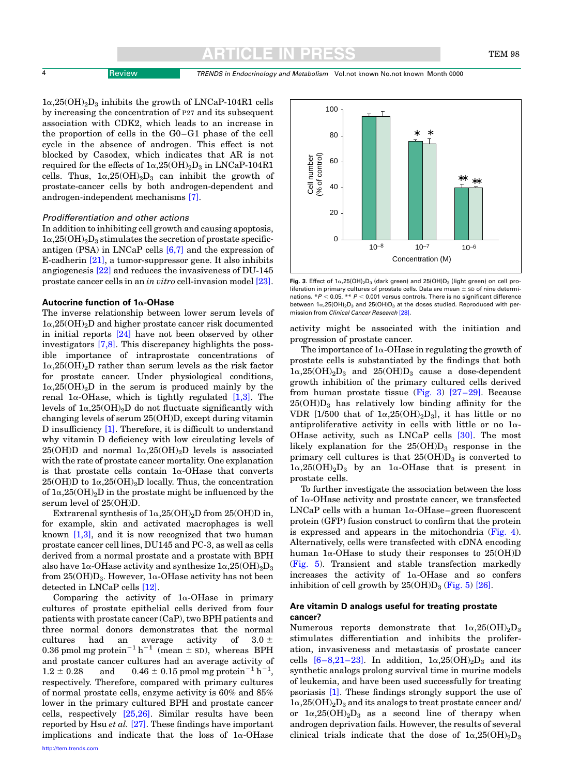$1\alpha,25(OH)_{2}D_{3}$  inhibits the growth of LNCaP-104R1 cells by increasing the concentration of P27 and its subsequent association with CDK2, which leads to an increase in the proportion of cells in the G0–G1 phase of the cell cycle in the absence of androgen. This effect is not blocked by Casodex, which indicates that AR is not required for the effects of  $1\alpha,25(OH)_2D_3$  in LNCaP-104R1 cells. Thus,  $1\alpha, 25(OH)_2D_3$  can inhibit the growth of prostate-cancer cells by both androgen-dependent and androgen-independent mechanisms [\[7\].](#page-6-0)

#### Prodifferentiation and other actions

In addition to inhibiting cell growth and causing apoptosis,  $1\alpha,25(OH)_2D_3$  stimulates the secretion of prostate specificantigen (PSA) in LNCaP cells [\[6,7\]](#page-6-0) and the expression of E-cadherin [\[21\],](#page-6-0) a tumor-suppressor gene. It also inhibits angiogenesis [\[22\]](#page-6-0) and reduces the invasiveness of DU-145 prostate cancer cells in an in vitro cell-invasion model [\[23\]](#page-6-0).

#### Autocrine function of  $1\alpha$ -OHase

The inverse relationship between lower serum levels of  $1\alpha,25(OH)_2D$  and higher prostate cancer risk documented in initial reports [\[24\]](#page-6-0) have not been observed by other investigators [\[7,8\]](#page-6-0). This discrepancy highlights the possible importance of intraprostate concentrations of  $1\alpha,25(OH)_{2}$ D rather than serum levels as the risk factor for prostate cancer. Under physiological conditions,  $1\alpha,25(OH)<sub>2</sub>D$  in the serum is produced mainly by the renal  $1\alpha$ -OHase, which is tightly regulated [\[1,3\].](#page-6-0) The levels of  $1\alpha,25(OH)_2D$  do not fluctuate significantly with changing levels of serum 25(OH)D, except during vitamin D insufficiency [\[1\]](#page-6-0). Therefore, it is difficult to understand why vitamin D deficiency with low circulating levels of  $25(OH)D$  and normal  $1\alpha,25(OH)_2D$  levels is associated with the rate of prostate cancer mortality. One explanation is that prostate cells contain  $1\alpha$ -OHase that converts  $25(OH)D$  to  $1\alpha, 25(OH)_2D$  locally. Thus, the concentration of  $1\alpha,25(OH)_2D$  in the prostate might be influenced by the serum level of 25(OH)D.

Extrarenal synthesis of  $1\alpha,25(OH)_2D$  from  $25(OH)D$  in, for example, skin and activated macrophages is well known  $[1,3]$ , and it is now recognized that two human prostate cancer cell lines, DU145 and PC-3, as well as cells derived from a normal prostate and a prostate with BPH also have  $1\alpha$ -OHase activity and synthesize  $1\alpha,25(OH)_{2}D_{3}$ from  $25(OH)D_3$ . However, 1 $\alpha$ -OHase activity has not been detected in LNCaP cells [\[12\].](#page-6-0)

Comparing the activity of  $1\alpha$ -OHase in primary cultures of prostate epithelial cells derived from four patients with prostate cancer (CaP), two BPH patients and three normal donors demonstrates that the normal cultures had an average activity of  $3.0 \pm$ 0.36 pmol mg protein<sup>-1</sup> h<sup>-1</sup> (mean  $\pm$  sD), whereas BPH and prostate cancer cultures had an average activity of  $1.2 \pm 0.28$  and  $0.46 \pm 0.15$  pmol mg protein<sup>-1</sup> h<sup>-1</sup>, respectively. Therefore, compared with primary cultures of normal prostate cells, enzyme activity is 60% and 85% lower in the primary cultured BPH and prostate cancer cells, respectively [\[25,26\]](#page-6-0). Similar results have been reported by Hsu et al.  $[27]$ . These findings have important implications and indicate that the loss of  $1\alpha$ -OHase



Fig. 3. Effect of  $1\alpha$ ,  $25(OH)_{2}D_{3}$  (dark green) and  $25(OH)D_{3}$  (light green) on cell proliferation in primary cultures of prostate cells. Data are mean  $\pm$  sD of nine determinations.  $*P < 0.05$ ,  $** P < 0.001$  versus controls. There is no significant difference between  $1\alpha$ ,25(OH)<sub>2</sub>D<sub>3</sub> and 25(OH)D<sub>3</sub> at the doses studied. Reproduced with per-<br>mission from *Clinical Cancer Research* [28].

activity might be associated with the initiation and progression of prostate cancer.

The importance of  $1\alpha$ -OHase in regulating the growth of prostate cells is substantiated by the findings that both  $1\alpha,25(OH)_{2}D_{3}$  and  $25(OH)D_{3}$  cause a dose-dependent growth inhibition of the primary cultured cells derived from human prostate tissue (Fig. 3)  $[27-29]$ . Because  $25(OH)D<sub>3</sub>$  has relatively low binding affinity for the VDR [1/500 that of  $1\alpha,25(OH)_2D_3$ ], it has little or no antiproliferative activity in cells with little or no  $1\alpha$ -OHase activity, such as LNCaP cells [\[30\].](#page-6-0) The most likely explanation for the  $25(OH)D<sub>3</sub>$  response in the primary cell cultures is that  $25(OH)D<sub>3</sub>$  is converted to  $1\alpha,25(OH)_2D_3$  by an  $1\alpha$ -OHase that is present in prostate cells.

To further investigate the association between the loss of  $1\alpha$ -OHase activity and prostate cancer, we transfected LNCaP cells with a human  $1\alpha$ -OHase–green fluorescent protein (GFP) fusion construct to confirm that the protein is expressed and appears in the mitochondria [\(Fig. 4](#page-4-0)). Alternatively, cells were transfected with cDNA encoding human  $1\alpha$ -OHase to study their responses to  $25(OH)D$ ([Fig. 5\)](#page-4-0). Transient and stable transfection markedly increases the activity of  $1\alpha$ -OHase and so confers inhibition of cell growth by  $25(OH)D_3$  [\(Fig. 5](#page-4-0)) [\[26\]](#page-6-0).

#### Are vitamin D analogs useful for treating prostate cancer?

Numerous reports demonstrate that  $1\alpha,25(OH)_2D_3$ stimulates differentiation and inhibits the proliferation, invasiveness and metastasis of prostate cancer cells  $[6-8,21-23]$ . In addition,  $1\alpha,25(OH)_2D_3$  and its synthetic analogs prolong survival time in murine models of leukemia, and have been used successfully for treating psoriasis [\[1\].](#page-6-0) These findings strongly support the use of  $1\alpha,25(OH)_{2}D_{3}$  and its analogs to treat prostate cancer and/ or  $1\alpha,25(OH)_2D_3$  as a second line of therapy when androgen deprivation fails. However, the results of several clinical trials indicate that the dose of  $1\alpha,25(OH)_{2}D_{3}$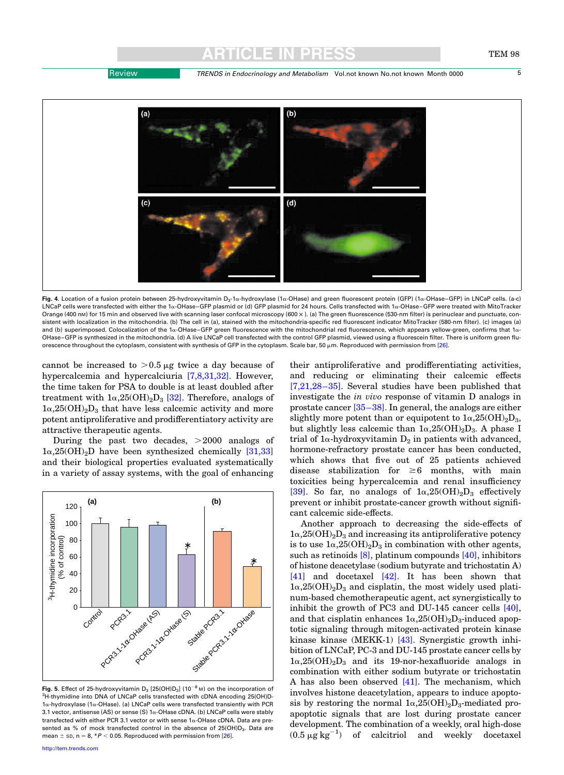

<span id="page-4-0"></span>

Fig. 4. Location of a fusion protein between 25-hydroxyvitamin D<sub>3</sub>-1α-hydroxylase (1α-OHase) and green fluorescent protein (GFP) (1α-OHase–GFP) in LNCaP cells. (a-c) LNCaP cells were transfected with either the 1a-OHase–GFP plasmid or (d) GFP plasmid for 24 hours. Cells transfected with 1a-OHase–GFP were treated with MitoTracker Orange (400 nm) for 15 min and observed live with scanning laser confocal microscopy (600 x). (a) The green fluorescence (530-nm filter) is perinuclear and punctuate, consistent with localization in the mitochondria. (b) The cell in (a), stained with the mitochondria-specific red fluorescent indicator MitoTracker (580-nm filter). (c) images (a) and (b) superimposed. Colocalization of the 1a-OHase-GFP green fluorescence with the mitochondrial red fluorescence, which appears yellow-green, confirms that 1a-OHase–GFP is synthesized in the mitochondria. (d) A live LNCaP cell transfected with the control GFP plasmid, viewed using a fluorescein filter. There is uniform green fluorescence throughout the cytoplasm, consistent with synthesis of GFP in the cytoplasm. Scale bar, 50  $\mu$ m. Reproduced with permission from [\[26\]](#page-6-0).

cannot be increased to  $>0.5 \mu g$  twice a day because of hypercalcemia and hypercalciuria [\[7,8,31,32\].](#page-6-0) However, the time taken for PSA to double is at least doubled after treatment with  $1\alpha,25(OH)_2D_3$  [\[32\].](#page-6-0) Therefore, analogs of  $1\alpha,25(OH)_2D_3$  that have less calcemic activity and more potent antiproliferative and prodifferentiatory activity are attractive therapeutic agents.

During the past two decades,  $>2000$  analogs of  $1\alpha,25(OH)_{2}D$  have been synthesized chemically [\[31,33\]](#page-6-0) and their biological properties evaluated systematically in a variety of assay systems, with the goal of enhancing



Fig. 5. Effect of 25-hydroxyvitamin  $D_3$  [25(OH) $D_3$ ] (10<sup>-8</sup> M) on the incorporation of <sup>3</sup>H-thymidine into DNA of LNCaP cells transfected with cDNA encoding 25(OH)D- $1\alpha$ -hydroxylase (1 $\alpha$ -OHase). (a) LNCaP cells were transfected transiently with PCR 3.1 vector, antisense (AS) or sense (S) 1a-OHase cDNA. (b) LNCaP cells were stably transfected with either PCR 3.1 vector or with sense  $1\alpha$ -OHase cDNA. Data are presented as % of mock transfected control in the absence of 25(OH)D<sub>3</sub>. Data are mean  $\pm$  sp, n = 8, \*P < 0.05. Reproduced with permission from [\[26\].](#page-6-0)

their antiproliferative and prodifferentiating activities, and reducing or eliminating their calcemic effects [\[7,21,28–35\]](#page-6-0). Several studies have been published that investigate the in vivo response of vitamin D analogs in prostate cancer [\[35–38\].](#page-6-0) In general, the analogs are either slightly more potent than or equipotent to  $1\alpha,25(OH)_2D_3$ , but slightly less calcemic than  $1\alpha,25(OH)_2D_3$ . A phase I trial of  $1\alpha$ -hydroxyvitamin  $D_2$  in patients with advanced, hormone-refractory prostate cancer has been conducted, which shows that five out of 25 patients achieved disease stabilization for  $\geq 6$  months, with main toxicities being hypercalcemia and renal insufficiency [\[39\].](#page-6-0) So far, no analogs of  $1\alpha,25(OH)_2D_3$  effectively prevent or inhibit prostate-cancer growth without significant calcemic side-effects.

Another approach to decreasing the side-effects of  $1\alpha,25(OH)<sub>2</sub>D<sub>3</sub>$  and increasing its antiproliferative potency is to use  $1\alpha,25(OH)_2D_3$  in combination with other agents, such as retinoids [\[8\]](#page-6-0), platinum compounds [\[40\]](#page-7-0), inhibitors of histone deacetylase (sodium butyrate and trichostatin A) [\[41\]](#page-7-0) and docetaxel [\[42\]](#page-7-0). It has been shown that  $1\alpha,25(OH)_2D_3$  and cisplatin, the most widely used platinum-based chemotherapeutic agent, act synergistically to inhibit the growth of PC3 and DU-145 cancer cells [\[40\]](#page-7-0), and that cisplatin enhances  $1\alpha,25(OH)_2D_3$ -induced apoptotic signaling through mitogen-activated protein kinase kinase kinase (MEKK-1) [\[43\]](#page-7-0). Synergistic growth inhibition of LNCaP, PC-3 and DU-145 prostate cancer cells by  $1\alpha,25(OH)_{2}D_{3}$  and its 19-nor-hexafluoride analogs in combination with either sodium butyrate or trichostatin A has also been observed  $[41]$ . The mechanism, which involves histone deacetylation, appears to induce apoptosis by restoring the normal  $1\alpha,25(OH)_2D_3$ -mediated proapoptotic signals that are lost during prostate cancer development. The combination of a weekly, oral high-dose  $(0.5 \mu g \text{ kg}^{-1})$  of calcitriol and weekly docetaxel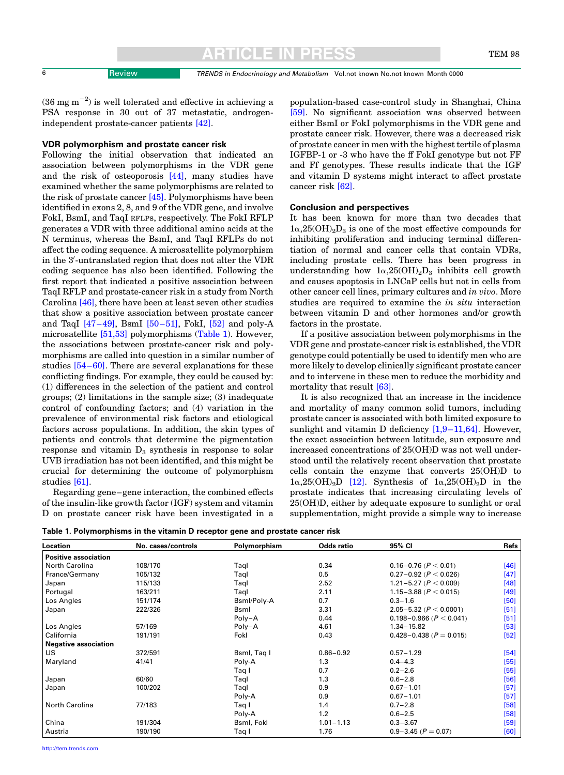6 Review TRENDS in Endocrinology and Metabolism Vol.not known No.not known Month 0000

 $(36 \text{ mg m}^{-2})$  is well tolerated and effective in achieving a PSA response in 30 out of 37 metastatic, androgenindependent prostate-cancer patients [\[42\].](#page-7-0)

#### VDR polymorphism and prostate cancer risk

Following the initial observation that indicated an association between polymorphisms in the VDR gene and the risk of osteoporosis [\[44\]](#page-7-0), many studies have examined whether the same polymorphisms are related to the risk of prostate cancer [\[45\]](#page-7-0). Polymorphisms have been identified in exons 2, 8, and 9 of the VDR gene, and involve FokI, BsmI, and TaqI RFLPs, respectively. The FokI RFLP generates a VDR with three additional amino acids at the N terminus, whereas the BsmI, and TaqI RFLPs do not affect the coding sequence. A microsatellite polymorphism in the 3'-untranslated region that does not alter the VDR coding sequence has also been identified. Following the first report that indicated a positive association between TaqI RFLP and prostate-cancer risk in a study from North Carolina [\[46\],](#page-7-0) there have been at least seven other studies that show a positive association between prostate cancer and TaqI  $[47-49]$ , BsmI  $[50-51]$ , FokI,  $[52]$  and poly-A microsatellite [\[51,53\]](#page-7-0) polymorphisms (Table 1). However, the associations between prostate-cancer risk and polymorphisms are called into question in a similar number of studies [\[54–60\]](#page-7-0). There are several explanations for these conflicting findings. For example, they could be caused by: (1) differences in the selection of the patient and control groups; (2) limitations in the sample size; (3) inadequate control of confounding factors; and (4) variation in the prevalence of environmental risk factors and etiological factors across populations. In addition, the skin types of patients and controls that determine the pigmentation response and vitamin  $D_3$  synthesis in response to solar UVB irradiation has not been identified, and this might be crucial for determining the outcome of polymorphism studies [\[61\].](#page-7-0)

Regarding gene–gene interaction, the combined effects of the insulin-like growth factor (IGF) system and vitamin D on prostate cancer risk have been investigated in a population-based case-control study in Shanghai, China [\[59\].](#page-7-0) No significant association was observed between either BsmI or FokI polymorphisms in the VDR gene and prostate cancer risk. However, there was a decreased risk of prostate cancer in men with the highest tertile of plasma IGFBP-1 or -3 who have the ff FokI genotype but not FF and Ff genotypes. These results indicate that the IGF and vitamin D systems might interact to affect prostate cancer risk [\[62\].](#page-7-0)

#### Conclusion and perspectives

It has been known for more than two decades that  $1\alpha,25(OH)_{2}D_{3}$  is one of the most effective compounds for inhibiting proliferation and inducing terminal differentiation of normal and cancer cells that contain VDRs, including prostate cells. There has been progress in understanding how  $1\alpha,25(OH)_2D_3$  inhibits cell growth and causes apoptosis in LNCaP cells but not in cells from other cancer cell lines, primary cultures and in vivo. More studies are required to examine the in situ interaction between vitamin D and other hormones and/or growth factors in the prostate.

If a positive association between polymorphisms in the VDR gene and prostate-cancer risk is established, the VDR genotype could potentially be used to identify men who are more likely to develop clinically significant prostate cancer and to intervene in these men to reduce the morbidity and mortality that result [\[63\]](#page-7-0).

It is also recognized that an increase in the incidence and mortality of many common solid tumors, including prostate cancer is associated with both limited exposure to sunlight and vitamin D deficiency  $[1,9-11,64]$ . However, the exact association between latitude, sun exposure and increased concentrations of 25(OH)D was not well understood until the relatively recent observation that prostate cells contain the enzyme that converts 25(OH)D to  $1\alpha,25(OH)_2D$  [\[12\].](#page-6-0) Synthesis of  $1\alpha,25(OH)_2D$  in the prostate indicates that increasing circulating levels of 25(OH)D, either by adequate exposure to sunlight or oral supplementation, might provide a simple way to increase

|  |  |  |  | Table 1. Polymorphisms in the vitamin D receptor gene and prostate cancer risk |
|--|--|--|--|--------------------------------------------------------------------------------|
|--|--|--|--|--------------------------------------------------------------------------------|

| Location                    | No. cases/controls | Polymorphism | <b>Odds ratio</b> | 95% CI                          | <b>Refs</b> |
|-----------------------------|--------------------|--------------|-------------------|---------------------------------|-------------|
| <b>Positive association</b> |                    |              |                   |                                 |             |
| North Carolina              | 108/170            | Taql         | 0.34              | $0.16 - 0.76$ ( $P < 0.01$ )    | [46]        |
| France/Germany              | 105/132            | Taql         | 0.5               | $0.27 - 0.92$ ( $P < 0.026$ )   | [47]        |
| Japan                       | 115/133            | Taql         | 2.52              | 1.21-5.27 ( $P < 0.009$ )       | [48]        |
| Portugal                    | 163/211            | Taql         | 2.11              | 1.15 - 3.88 ( $P < 0.015$ )     | [49]        |
| Los Angles                  | 151/174            | Bsml/Poly-A  | 0.7               | $0.3 - 1.6$                     | [50]        |
| Japan                       | 222/326            | <b>Bsml</b>  | 3.31              | 2.05-5.32 ( $P < 0.0001$ )      | $[51]$      |
|                             |                    | Poly-A       | 0.44              | $0.198 - 0.966$ ( $P < 0.041$ ) | [51]        |
| Los Angles                  | 57/169             | Poly-A       | 4.61              | $1.34 - 15.82$                  | [53]        |
| California                  | 191/191            | Fokl         | 0.43              | $0.428 - 0.438$ ( $P = 0.015$ ) | $[52]$      |
| <b>Negative association</b> |                    |              |                   |                                 |             |
| US                          | 372/591            | Bsml, Taq I  | $0.86 - 0.92$     | $0.57 - 1.29$                   | [54]        |
| Maryland                    | 41/41              | Poly-A       | 1.3               | $0.4 - 4.3$                     | $[55]$      |
|                             |                    | Taq I        | 0.7               | $0.2 - 2.6$                     | $[55]$      |
| Japan                       | 60/60              | Taql         | 1.3               | $0.6 - 2.8$                     | [56]        |
| Japan                       | 100/202            | Taql         | 0.9               | $0.67 - 1.01$                   | [57]        |
|                             |                    | Poly-A       | 0.9               | $0.67 - 1.01$                   | [57]        |
| North Carolina              | 77/183             | Taq I        | 1.4               | $0.7 - 2.8$                     | [58]        |
|                             |                    | Poly-A       | 1.2               | $0.6 - 2.5$                     | [58]        |
| China                       | 191/304            | Bsml, Fokl   | $1.01 - 1.13$     | $0.3 - 3.67$                    | [59]        |
| Austria                     | 190/190            | Taq I        | 1.76              | $0.9 - 3.45$ ( $P = 0.07$ )     | [60]        |

[http://tem.trends.com](http://www.trends.com)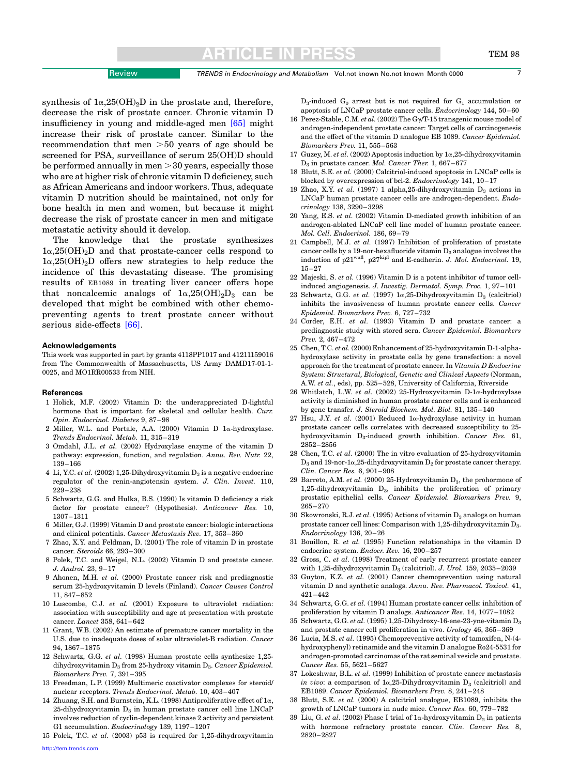### CLE IN

<span id="page-6-0"></span>synthesis of  $1\alpha,25(OH)_2D$  in the prostate and, therefore, decrease the risk of prostate cancer. Chronic vitamin D insufficiency in young and middle-aged men [\[65\]](#page-7-0) might increase their risk of prostate cancer. Similar to the recommendation that men  $>50$  years of age should be screened for PSA, surveillance of serum 25(OH)D should be performed annually in men  $>$  30 years, especially those who are at higher risk of chronic vitamin D deficiency, such as African Americans and indoor workers. Thus, adequate vitamin D nutrition should be maintained, not only for bone health in men and women, but because it might decrease the risk of prostate cancer in men and mitigate metastatic activity should it develop.

The knowledge that the prostate synthesizes  $1\alpha,25(OH)<sub>2</sub>D$  and that prostate-cancer cells respond to  $1\alpha,25(OH)<sub>2</sub>D$  offers new strategies to help reduce the incidence of this devastating disease. The promising results of EB1089 in treating liver cancer offers hope that noncalcemic analogs of  $1\alpha,25(OH)_2D_3$  can be developed that might be combined with other chemopreventing agents to treat prostate cancer without serious side-effects [\[66\].](#page-7-0)

#### Acknowledgements

This work was supported in part by grants 4118PP1017 and 41211159016 from The Commonwealth of Massachusetts, US Army DAMD17-01-1- 0025, and MO1RR00533 from NIH.

#### References

- 1 Holick, M.F. (2002) Vitamin D: the underappreciated D-lightful hormone that is important for skeletal and cellular health. Curr. Opin. Endocrinol. Diabetes 9, 87–98
- 2 Miller, W.L. and Portale, A.A. (2000) Vitamin D 1a-hydroxylase. Trends Endocrinol. Metab. 11, 315–319
- 3 Omdahl, J.L. et al. (2002) Hydroxylase enzyme of the vitamin D pathway: expression, function, and regulation. Annu. Rev. Nutr. 22, 139–166
- 4 Li, Y.C. et al. (2002) 1,25-Dihydroxyvitamin  $D_3$  is a negative endocrine regulator of the renin-angiotensin system. J. Clin. Invest. 110, 229–238
- 5 Schwartz, G.G. and Hulka, B.S. (1990) Is vitamin D deficiency a risk factor for prostate cancer? (Hypothesis). Anticancer Res. 10, 1307–1311
- 6 Miller, G.J. (1999) Vitamin D and prostate cancer: biologic interactions and clinical potentials. Cancer Metastasis Rev. 17, 353–360
- 7 Zhao, X.Y. and Feldman, D. (2001) The role of vitamin D in prostate cancer. Steroids 66, 293–300
- 8 Polek, T.C. and Weigel, N.L. (2002) Vitamin D and prostate cancer. J. Androl. 23, 9–17
- 9 Ahonen, M.H. et al. (2000) Prostate cancer risk and prediagnostic serum 25-hydroxyvitamin D levels (Finland). Cancer Causes Control 11, 847–852
- 10 Luscombe, C.J. et al. (2001) Exposure to ultraviolet radiation: association with susceptibility and age at presentation with prostate cancer. Lancet 358, 641–642
- 11 Grant, W.B. (2002) An estimate of premature cancer mortality in the U.S. due to inadequate doses of solar ultraviolet-B radiation. Cancer 94, 1867–1875
- 12 Schwartz, G.G. et al. (1998) Human prostate cells synthesize 1,25 dihydroxyvitamin  $D_3$  from 25-hydroxy vitamin  $D_3$ . Cancer Epidemiol. Biomarkers Prev. 7, 391–395
- 13 Freedman, L.P. (1999) Multimeric coactivator complexes for steroid/ nuclear receptors. Trends Endocrinol. Metab. 10, 403–407
- 14 Zhuang, S.H. and Burnstein, K.L. (1998) Antiproliferative effect of  $1\alpha$ ,  $25$ -dihydroxyvitamin  $D_3$  in human prostate cancer cell line LNCaP involves reduction of cyclin-dependent kinase 2 activity and persistent G1 accumulation. Endocrinology 139, 1197–1207
- 15 Polek, T.C. et al. (2003) p53 is required for 1,25-dihydroxyvitamin

 $D_3$ -induced  $G_0$  arrest but is not required for  $G_1$  accumulation or apoptosis of LNCaP prostate cancer cells. Endocrinology 144, 50–60

- 16 Perez-Stable, C.M. et al. (2002) The Gy/T-15 transgenic mouse model of androgen-independent prostate cancer: Target cells of carcinogenesis and the effect of the vitamin D analogue EB 1089. Cancer Epidemiol. Biomarkers Prev. 11, 555–563
- 17 Guzey, M. et al. (2002) Apoptosis induction by  $1\alpha$ , 25-dihydroxyvitamin  $D_3$  in prostate cancer. Mol. Cancer Ther. 1, 667–677
- 18 Blutt, S.E. et al. (2000) Calcitriol-induced apoptosis in LNCaP cells is blocked by overexpression of bcl-2. Endocrinology 141, 10–17
- 19 Zhao, X.Y. et al. (1997) 1 alpha.25-dihydroxyvitamin  $D_2$  actions in LNCaP human prostate cancer cells are androgen-dependent. Endocrinology 138, 3290–3298
- 20 Yang, E.S. et al. (2002) Vitamin D-mediated growth inhibition of an androgen-ablated LNCaP cell line model of human prostate cancer. Mol. Cell. Endocrinol. 186, 69–79
- 21 Campbell, M.J. et al. (1997) Inhibition of proliferation of prostate cancer cells by a 19-nor-hexafluoride vitamin  $D_3$  analogue involves the induction of  $p21^{waf}$ ,  $p27^{kipl}$  and E-cadherin. J. Mol. Endocrinol. 19, 15–27
- 22 Majeski, S. et al. (1996) Vitamin D is a potent inhibitor of tumor cellinduced angiogenesis. J. Investig. Dermatol. Symp. Proc. 1, 97–101
- 23 Schwartz, G.G. et al. (1997)  $1\alpha$ , 25-Dihydroxyvitamin D<sub>3</sub> (calcitriol) inhibits the invasiveness of human prostate cancer cells. Cancer Epidemiol. Biomarkers Prev. 6, 727–732
- 24 Corder, E.H. et al. (1993) Vitamin D and prostate cancer: a prediagnostic study with stored sera. Cancer Epidemiol. Biomarkers Prev. 2, 467–472
- 25 Chen, T.C. et al. (2000) Enhancement of 25-hydroxyvitamin D-1-alphahydroxylase activity in prostate cells by gene transfection: a novel approach for the treatment of prostate cancer. In Vitamin D Endocrine System: Structural, Biological, Genetic and Clinical Aspects (Norman, A.W. et al., eds), pp. 525–528, University of California, Riverside
- 26 Whitlatch, L.W. et al. (2002) 25-Hydroxyvitamin D-1 $\alpha$ -hydroxylase activity is diminished in human prostate cancer cells and is enhanced by gene transfer. J. Steroid Biochem. Mol. Biol. 81, 135–140
- 27 Hsu, J.Y. et al. (2001) Reduced  $1\alpha$ -hydroxylase activity in human prostate cancer cells correlates with decreased susceptibility to 25 hydroxyvitamin D<sub>3</sub>-induced growth inhibition. Cancer Res. 61, 2852–2856
- 28 Chen, T.C. et al. (2000) The in vitro evaluation of 25-hydroxyvitamin  $D_3$  and 19-nor-1 $\alpha$ , 25-dihydroxyvitamin  $D_2$  for prostate cancer therapy. Clin. Cancer Res. 6, 901–908
- 29 Barreto, A.M. et al. (2000) 25-Hydroxyvitamin  $D_3$ , the prohormone of 1,25-dihydroxyvitamin D3, inhibits the proliferation of primary prostatic epithelial cells. Cancer Epidemiol. Biomarkers Prev. 9, 265–270
- 30 Skowronski, R.J. et al. (1995) Actions of vitamin  $D_3$  analogs on human prostate cancer cell lines: Comparison with 1,25-dihydroxyvitamin D3. Endocrinology 136, 20–26
- 31 Bouillon, R. et al. (1995) Function relationships in the vitamin D endocrine system. Endocr. Rev. 16, 200–257
- 32 Gross, C. et al. (1998) Treatment of early recurrent prostate cancer with 1,25-dihydroxyvitamin  $D_3$  (calcitriol). J. Urol. 159, 2035-2039
- 33 Guyton, K.Z. et al. (2001) Cancer chemoprevention using natural vitamin D and synthetic analogs. Annu. Rev. Pharmacol. Toxicol. 41, 421–442
- 34 Schwartz, G.G. et al. (1994) Human prostate cancer cells: inhibition of proliferation by vitamin D analogs. Anticancer Res. 14, 1077–1082
- 35 Schwartz, G.G. et al. (1995) 1,25-Dihydroxy-16-ene-23-yne-vitamin D3 and prostate cancer cell proliferation in vivo. Urology 46, 365–369
- 36 Lucia, M.S. et al. (1995) Chemopreventive activity of tamoxifen, N-(4 hydroxyphenyl) retinamide and the vitamin D analogue Ro24-5531 for androgen-promoted carcinomas of the rat seminal vesicle and prostate. Cancer Res. 55, 5621–5627
- 37 Lokeshwar, B.L. et al. (1999) Inhibition of prostate cancer metastasis in vivo: a comparison of  $1\alpha,25$ -Dihydroxyvitamin  $D_3$  (calcitriol) and EB1089. Cancer Epidemiol. Biomarkers Prev. 8, 241–248
- 38 Blutt, S.E. et al. (2000) A calcitriol analogue, EB1089, inhibits the growth of LNCaP tumors in nude mice. Cancer Res. 60, 779–782
- 39 Liu, G. et al. (2002) Phase I trial of  $1\alpha$ -hydroxyvitamin  $D_2$  in patients with hormone refractory prostate cancer. Clin. Cancer Res. 8, 2820–2827